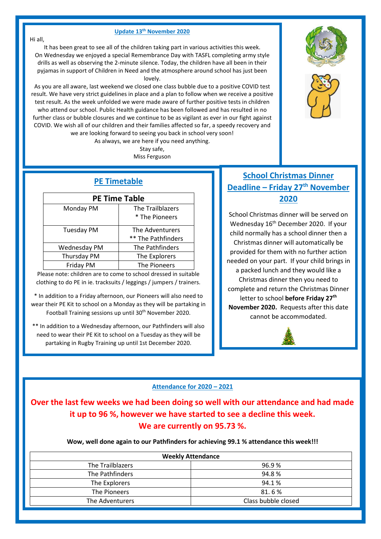#### **Update 13th November 2020**

It has been great to see all of the children taking part in various activities this week. On Wednesday we enjoyed a special Remembrance Day with TASFL completing army style drills as well as observing the 2-minute silence. Today, the children have all been in their pyjamas in support of Children in Need and the atmosphere around school has just been lovely.

As you are all aware, last weekend we closed one class bubble due to a positive COVID test result. We have very strict guidelines in place and a plan to follow when we receive a positive test result. As the week unfolded we were made aware of further positive tests in children who attend our school. Public Health guidance has been followed and has resulted in no further class or bubble closures and we continue to be as vigilant as ever in our fight against COVID. We wish all of our children and their families affected so far, a speedy recovery and we are looking forward to seeing you back in school very soon!

As always, we are here if you need anything.

Stay safe, Miss Ferguson

# **PE Timetable**

| <b>PE Time Table</b> |                                       |
|----------------------|---------------------------------------|
| Monday PM            | The Trailblazers<br>* The Pioneers    |
| <b>Tuesday PM</b>    | The Adventurers<br>** The Pathfinders |
| Wednesday PM         | The Pathfinders                       |
| Thursday PM          | The Explorers                         |
| Friday PM            | The Pioneers                          |

Please note: children are to come to school dressed in suitable clothing to do PE in ie. tracksuits / leggings / jumpers / trainers.

\* In addition to a Friday afternoon, our Pioneers will also need to wear their PE Kit to school on a Monday as they will be partaking in Football Training sessions up until 30<sup>th</sup> November 2020.

\*\* In addition to a Wednesday afternoon, our Pathfinders will also need to wear their PE Kit to school on a Tuesday as they will be partaking in Rugby Training up until 1st December 2020.

# **School Christmas Dinner Deadline – Friday 27th November 2020**

School Christmas dinner will be served on Wednesday 16<sup>th</sup> December 2020. If your child normally has a school dinner then a Christmas dinner will automatically be provided for them with no further action needed on your part. If your child brings in a packed lunch and they would like a Christmas dinner then you need to complete and return the Christmas Dinner letter to school **before Friday 27th November 2020.** Requests after this date cannot be accommodated.



#### **Attendance for 2020 – 2021**

**Over the last few weeks we had been doing so well with our attendance and had made it up to 96 %, however we have started to see a decline this week. We are currently on 95.73 %.** 

**Wow, well done again to our Pathfinders for achieving 99.1 % attendance this week!!!**

| <b>Weekly Attendance</b> |                     |
|--------------------------|---------------------|
| The Trailblazers         | 96.9%               |
| The Pathfinders          | 94.8%               |
| The Explorers            | 94.1%               |
| The Pioneers             | 81.6%               |
| The Adventurers          | Class bubble closed |





Hi all,